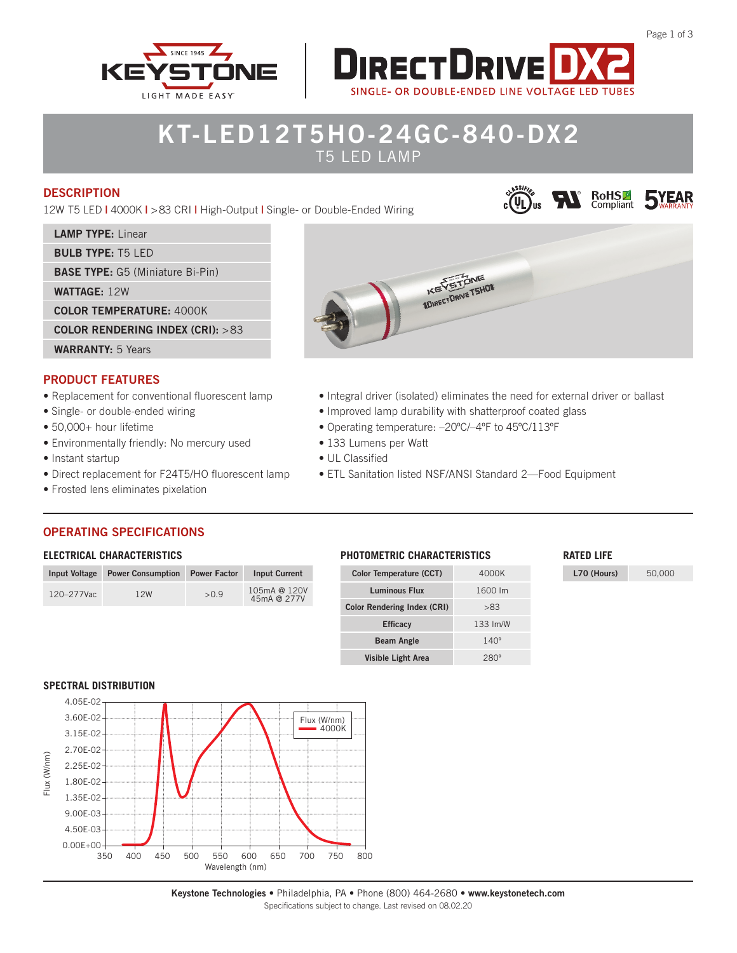



# **KT-LED12T5HO-24GC-840-DX2** T5 LED LAMP

## **DESCRIPTION**

12W T5 LED **|** 4000K **|** >83 CRI **|** High-Output **|** Single- or Double-Ended Wiring

## **LAMP TYPE:** Linear

**BULB TYPE:** T5 LED

**BASE TYPE:** G5 (Miniature Bi-Pin)

**WATTAGE:** 12W

#### **COLOR TEMPERATURE:** 4000K

**COLOR RENDERING INDEX (CRI):** >83

**WARRANTY:** 5 Years

# **PRODUCT FEATURES**

- Replacement for conventional fluorescent lamp
- Single- or double-ended wiring
- 50,000+ hour lifetime
- Environmentally friendly: No mercury used
- Instant startup
- Direct replacement for F24T5/HO fluorescent lamp
- Frosted lens eliminates pixelation

# **IKEY STONE**

- Integral driver (isolated) eliminates the need for external driver or ballast
- Improved lamp durability with shatterproof coated glass
- Operating temperature: –20ºC/–4ºF to 45ºC/113ºF
- 133 Lumens per Watt
- UL Classified
- ETL Sanitation listed NSF/ANSI Standard 2—Food Equipment

# **OPERATING SPECIFICATIONS**

#### **ELECTRICAL CHARACTERISTICS**

| <b>Input Voltage</b> | <b>Power Consumption</b> | <b>Power Factor</b> | <b>Input Current</b>        |
|----------------------|--------------------------|---------------------|-----------------------------|
| 120-277Vac           | 12W                      | >0.9                | 105mA @ 120V<br>45mA @ 277V |

| <b>PHOTOMETRIC CHARACTERISTICS</b> |  |
|------------------------------------|--|
|                                    |  |

| <b>Color Temperature (CCT)</b>     | 4000K       |
|------------------------------------|-------------|
| <b>Luminous Flux</b>               | 1600 lm     |
| <b>Color Rendering Index (CRI)</b> | >83         |
| <b>Efficacy</b>                    | 133 Im/W    |
| <b>Beam Angle</b>                  | $140^\circ$ |
| Visible Light Area                 |             |

#### **RATED LIFE**

COLUS **WAS ROHSE SYEAR** 

**L70 (Hours)** 50,000

**SPECTRAL DISTRIBUTION**



**Keystone Technologies** • Philadelphia, PA • Phone (800) 464-2680 • **www.keystonetech.com** Specifications subject to change. Last revised on 08.02.20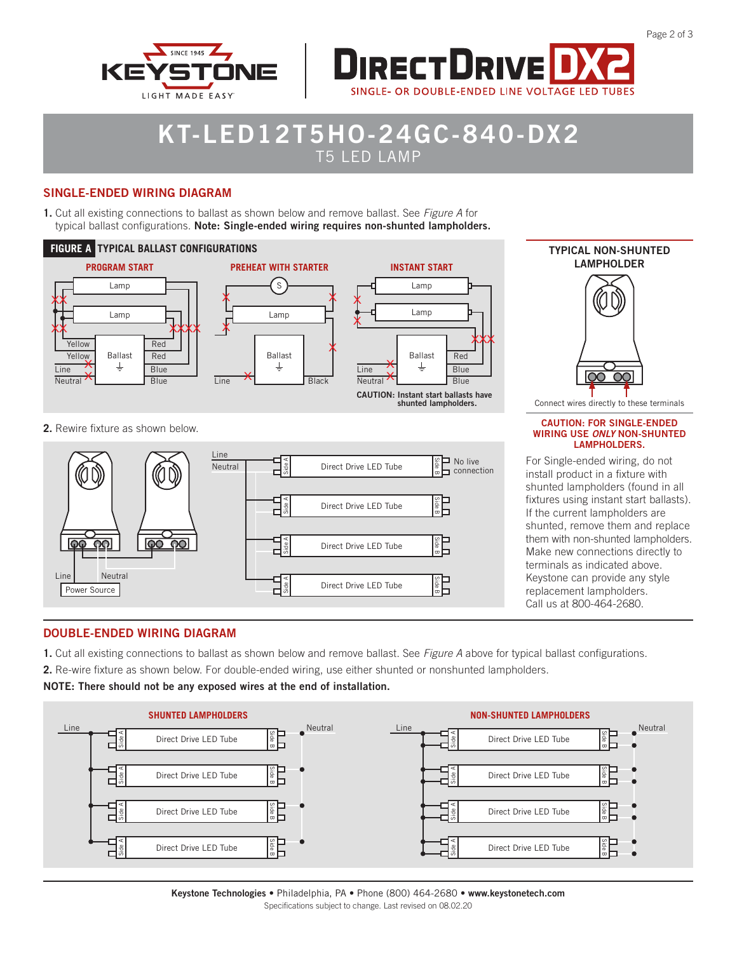



# **KT-LED12T5HO-24GC-840-DX2** T5 LED LAMP

## **SINGLE-ENDED WIRING DIAGRAM**

**1.** Cut all existing connections to ballast as shown below and remove ballast. See *Figure A* for typical ballast configurations. **Note: Single-ended wiring requires non-shunted lampholders.**





#### **2.** Rewire fixture as shown below.



#### **CAUTION: FOR SINGLE-ENDED WIRING USE** *ONLY* **NON-SHUNTED LAMPHOLDERS.**

For Single-ended wiring, do not install product in a fixture with shunted lampholders (found in all fixtures using instant start ballasts). If the current lampholders are shunted, remove them and replace them with non-shunted lampholders. Make new connections directly to terminals as indicated above. Keystone can provide any style replacement lampholders. Call us at 800-464-2680.

# **DOUBLE-ENDED WIRING DIAGRAM**

- **1.** Cut all existing connections to ballast as shown below and remove ballast. See *Figure A* above for typical ballast configurations.
- **2.** Re-wire fixture as shown below. For double-ended wiring, use either shunted or nonshunted lampholders.

**NOTE: There should not be any exposed wires at the end of installation.**